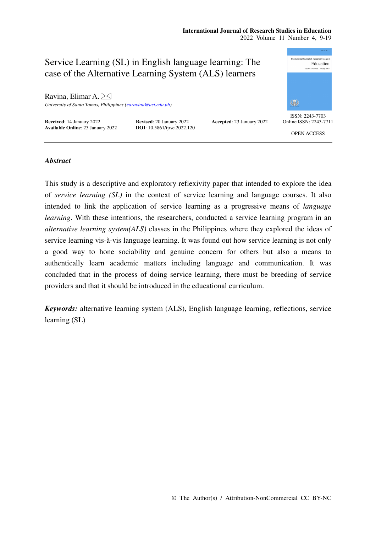#### **International Journal of Research Studies in Education**  2022 Volume 11 Number 4, 9-19



## *Abstract*

This study is a descriptive and exploratory reflexivity paper that intended to explore the idea of *service learning (SL)* in the context of service learning and language courses. It also intended to link the application of service learning as a progressive means of *language learning*. With these intentions, the researchers, conducted a service learning program in an *alternative learning system(ALS)* classes in the Philippines where they explored the ideas of service learning vis-à-vis language learning. It was found out how service learning is not only a good way to hone sociability and genuine concern for others but also a means to authentically learn academic matters including language and communication. It was concluded that in the process of doing service learning, there must be breeding of service providers and that it should be introduced in the educational curriculum.

*Keywords:* alternative learning system (ALS), English language learning, reflections, service learning (SL)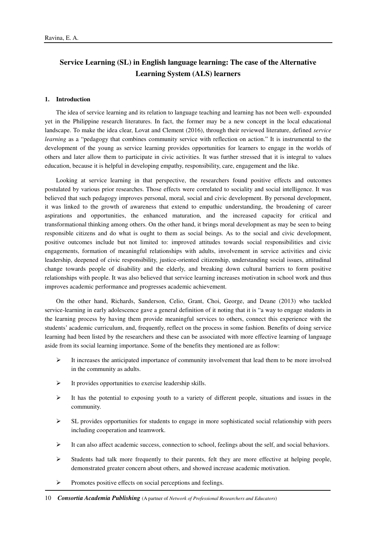# **Service Learning (SL) in English language learning: The case of the Alternative Learning System (ALS) learners**

## **1. Introduction**

The idea of service learning and its relation to language teaching and learning has not been well- expounded yet in the Philippine research literatures. In fact, the former may be a new concept in the local educational landscape. To make the idea clear, Lovat and Clement (2016), through their reviewed literature, defined *service learning* as a "pedagogy that combines community service with reflection on action." It is instrumental to the development of the young as service learning provides opportunities for learners to engage in the worlds of others and later allow them to participate in civic activities. It was further stressed that it is integral to values education, because it is helpful in developing empathy, responsibility, care, engagement and the like.

Looking at service learning in that perspective, the researchers found positive effects and outcomes postulated by various prior researches. Those effects were correlated to sociality and social intelligence. It was believed that such pedagogy improves personal, moral, social and civic development. By personal development, it was linked to the growth of awareness that extend to empathic understanding, the broadening of career aspirations and opportunities, the enhanced maturation, and the increased capacity for critical and transformational thinking among others. On the other hand, it brings moral development as may be seen to being responsible citizens and do what is ought to them as social beings. As to the social and civic development, positive outcomes include but not limited to: improved attitudes towards social responsibilities and civic engagements, formation of meaningful relationships with adults, involvement in service activities and civic leadership, deepened of civic responsibility, justice-oriented citizenship, understanding social issues, attitudinal change towards people of disability and the elderly, and breaking down cultural barriers to form positive relationships with people. It was also believed that service learning increases motivation in school work and thus improves academic performance and progresses academic achievement.

On the other hand, Richards, Sanderson, Celio, Grant, Choi, George, and Deane (2013) who tackled service-learning in early adolescence gave a general definition of it noting that it is "a way to engage students in the learning process by having them provide meaningful services to others, connect this experience with the students' academic curriculum, and, frequently, reflect on the process in some fashion. Benefits of doing service learning had been listed by the researchers and these can be associated with more effective learning of language aside from its social learning importance. Some of the benefits they mentioned are as follow:

- $\triangleright$  It increases the anticipated importance of community involvement that lead them to be more involved in the community as adults.
- $\triangleright$  It provides opportunities to exercise leadership skills.
- $\triangleright$  It has the potential to exposing youth to a variety of different people, situations and issues in the community.
- $\triangleright$  SL provides opportunities for students to engage in more sophisticated social relationship with peers including cooperation and teamwork.
- $\blacktriangleright$  It can also affect academic success, connection to school, feelings about the self, and social behaviors.
- $\triangleright$  Students had talk more frequently to their parents, felt they are more effective at helping people, demonstrated greater concern about others, and showed increase academic motivation.
- $\triangleright$  Promotes positive effects on social perceptions and feelings.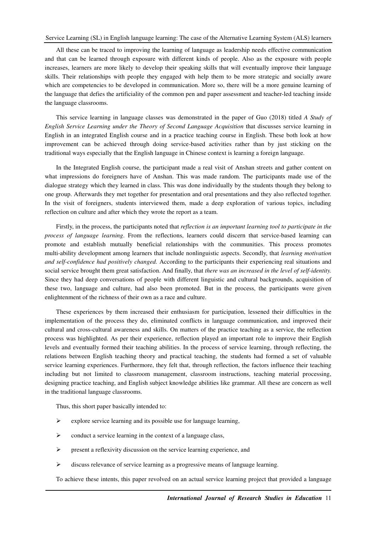## Service Learning (SL) in English language learning: The case of the Alternative Learning System (ALS) learners

All these can be traced to improving the learning of language as leadership needs effective communication and that can be learned through exposure with different kinds of people. Also as the exposure with people increases, learners are more likely to develop their speaking skills that will eventually improve their language skills. Their relationships with people they engaged with help them to be more strategic and socially aware which are competencies to be developed in communication. More so, there will be a more genuine learning of the language that defies the artificiality of the common pen and paper assessment and teacher-led teaching inside the language classrooms.

This service learning in language classes was demonstrated in the paper of Guo (2018) titled *A Study of English Service Learning under the Theory of Second Language Acquisition* that discusses service learning in English in an integrated English course and in a practice teaching course in English. These both look at how improvement can be achieved through doing service-based activities rather than by just sticking on the traditional ways especially that the English language in Chinese context is learning a foreign language.

In the Integrated English course, the participant made a real visit of Anshan streets and gather content on what impressions do foreigners have of Anshan. This was made random. The participants made use of the dialogue strategy which they learned in class. This was done individually by the students though they belong to one group. Afterwards they met together for presentation and oral presentations and they also reflected together. In the visit of foreigners, students interviewed them, made a deep exploration of various topics, including reflection on culture and after which they wrote the report as a team.

Firstly, in the process, the participants noted that *reflection is an important learning tool to participate in the process of language learning*. From the reflections, learners could discern that service-based learning can promote and establish mutually beneficial relationships with the communities. This process promotes multi-ability development among learners that include nonlinguistic aspects. Secondly, that *learning motivation and self-confidence had positively changed.* According to the participants their experiencing real situations and social service brought them great satisfaction. And finally, that *there was an increased in the level of self-identity.*  Since they had deep conversations of people with different linguistic and cultural backgrounds, acquisition of these two, language and culture, had also been promoted. But in the process, the participants were given enlightenment of the richness of their own as a race and culture.

These experiences by them increased their enthusiasm for participation, lessened their difficulties in the implementation of the process they do, eliminated conflicts in language communication, and improved their cultural and cross-cultural awareness and skills. On matters of the practice teaching as a service, the reflection process was highlighted. As per their experience, reflection played an important role to improve their English levels and eventually formed their teaching abilities. In the process of service learning, through reflecting, the relations between English teaching theory and practical teaching, the students had formed a set of valuable service learning experiences. Furthermore, they felt that, through reflection, the factors influence their teaching including but not limited to classroom management, classroom instructions, teaching material processing, designing practice teaching, and English subject knowledge abilities like grammar. All these are concern as well in the traditional language classrooms.

Thus, this short paper basically intended to:

- $\triangleright$  explore service learning and its possible use for language learning,
- $\triangleright$  conduct a service learning in the context of a language class,
- $\triangleright$  present a reflexivity discussion on the service learning experience, and
- $\triangleright$  discuss relevance of service learning as a progressive means of language learning.

To achieve these intents, this paper revolved on an actual service learning project that provided a language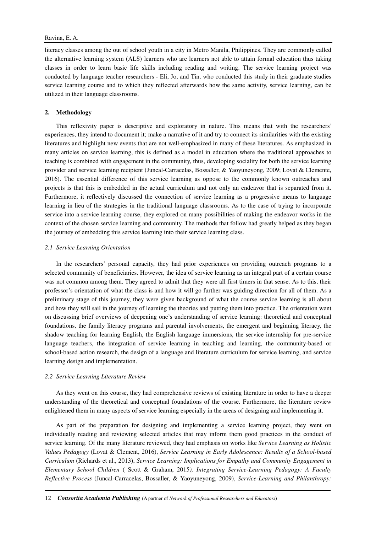## Ravina, E. A.

literacy classes among the out of school youth in a city in Metro Manila, Philippines. They are commonly called the alternative learning system (ALS) learners who are learners not able to attain formal education thus taking classes in order to learn basic life skills including reading and writing. The service learning project was conducted by language teacher researchers - Eli, Jo, and Tin, who conducted this study in their graduate studies service learning course and to which they reflected afterwards how the same activity, service learning, can be utilized in their language classrooms.

## **2. Methodology**

This reflexivity paper is descriptive and exploratory in nature. This means that with the researchers' experiences, they intend to document it; make a narrative of it and try to connect its similarities with the existing literatures and highlight new events that are not well-emphasized in many of these literatures. As emphasized in many articles on service learning, this is defined as a model in education where the traditional approaches to teaching is combined with engagement in the community, thus, developing sociality for both the service learning provider and service learning recipient (Juncal-Carracelas, Bossaller, & Yaoyuneyong, 2009; Lovat & Clemente, 2016). The essential difference of this service learning as oppose to the commonly known outreaches and projects is that this is embedded in the actual curriculum and not only an endeavor that is separated from it. Furthermore, it reflectively discussed the connection of service learning as a progressive means to language learning in lieu of the strategies in the traditional language classrooms. As to the case of trying to incorporate service into a service learning course, they explored on many possibilities of making the endeavor works in the context of the chosen service learning and community. The methods that follow had greatly helped as they began the journey of embedding this service learning into their service learning class.

### *2.1 Service Learning Orientation*

In the researchers' personal capacity, they had prior experiences on providing outreach programs to a selected community of beneficiaries. However, the idea of service learning as an integral part of a certain course was not common among them. They agreed to admit that they were all first timers in that sense. As to this, their professor's orientation of what the class is and how it will go further was guiding direction for all of them. As a preliminary stage of this journey, they were given background of what the course service learning is all about and how they will sail in the journey of learning the theories and putting them into practice. The orientation went on discussing brief overviews of deepening one's understanding of service learning: theoretical and conceptual foundations, the family literacy programs and parental involvements, the emergent and beginning literacy, the shadow teaching for learning English, the English language immersions, the service internship for pre-service language teachers, the integration of service learning in teaching and learning, the community-based or school-based action research, the design of a language and literature curriculum for service learning, and service learning design and implementation.

#### *2.2 Service Learning Literature Review*

As they went on this course, they had comprehensive reviews of existing literature in order to have a deeper understanding of the theoretical and conceptual foundations of the course. Furthermore, the literature review enlightened them in many aspects of service learning especially in the areas of designing and implementing it.

As part of the preparation for designing and implementing a service learning project, they went on individually reading and reviewing selected articles that may inform them good practices in the conduct of service learning. Of the many literature reviewed, they had emphasis on works like *Service Learning as Holistic Values Pedagogy* (Lovat & Clement, 2016), *Service Learning in Early Adolescence: Results of a School-based Curriculum* (Richards et al., 2013), *Service Learning: Implications for Empathy and Community Engagement in Elementary School Children* ( Scott & Graham, 2015*), Integrating Service-Learning Pedagogy: A Faculty Reflective Process* (Juncal-Carracelas, Bossaller, & Yaoyuneyong, 2009), *Service-Learning and Philanthropy:*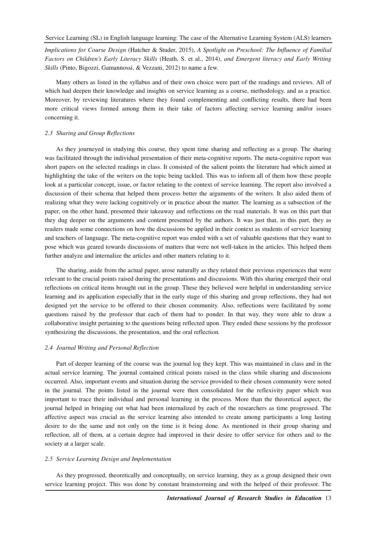*Implications for Course Design* (Hatcher & Studer, 2015), *A Spotlight on Preschool: The Influence of Familial Factors on Children's Early Literacy Skills* (Heath, S. et al., 2014), *and Emergent literacy and Early Writing Skills* (Pinto, Bigozzi, Gamannossi, & Vezzani, 2012) to name a few.

Many others as listed in the syllabus and of their own choice were part of the readings and reviews. All of which had deepen their knowledge and insights on service learning as a course, methodology, and as a practice. Moreover, by reviewing literatures where they found complementing and conflicting results, there had been more critical views formed among them in their take of factors affecting service learning and/or issues concerning it.

## *2.3 Sharing and Group Reflections*

As they journeyed in studying this course, they spent time sharing and reflecting as a group. The sharing was facilitated through the individual presentation of their meta-cognitive reports. The meta-cognitive report was short papers on the selected readings in class. It consisted of the salient points the literature had which aimed at highlighting the take of the writers on the topic being tackled. This was to inform all of them how these people look at a particular concept, issue, or factor relating to the context of service learning. The report also involved a discussion of their schema that helped them process better the arguments of the writers. It also aided them of realizing what they were lacking cognitively or in practice about the matter. The learning as a subsection of the paper, on the other hand, presented their takeaway and reflections on the read materials. It was on this part that they dug deeper on the arguments and content presented by the authors. It was just that, in this part, they as readers made some connections on how the discussions be applied in their context as students of service learning and teachers of language. The meta-cognitive report was ended with a set of valuable questions that they want to pose which was geared towards discussions of matters that were not well-taken in the articles. This helped them further analyze and internalize the articles and other matters relating to it.

The sharing, aside from the actual paper, arose naturally as they related their previous experiences that were relevant to the crucial points raised during the presentations and discussions. With this sharing emerged their oral reflections on critical items brought out in the group. These they believed were helpful in understanding service learning and its application especially that in the early stage of this sharing and group reflections, they had not designed yet the service to be offered to their chosen community. Also, reflections were facilitated by some questions raised by the professor that each of them had to ponder. In that way, they were able to draw a collaborative insight pertaining to the questions being reflected upon. They ended these sessions by the professor synthesizing the discussions, the presentation, and the oral reflection.

#### *2.4 Journal Writing and Personal Reflection*

Part of deeper learning of the course was the journal log they kept. This was maintained in class and in the actual service learning. The journal contained critical points raised in the class while sharing and discussions occurred. Also, important events and situation during the service provided to their chosen community were noted in the journal. The points listed in the journal were then consolidated for the reflexivity paper which was important to trace their individual and personal learning in the process. More than the theoretical aspect, the journal helped in bringing out what had been internalized by each of the researchers as time progressed. The affective aspect was crucial as the service learning also intended to create among participants a long lasting desire to do the same and not only on the time is it being done. As mentioned in their group sharing and reflection, all of them, at a certain degree had improved in their desire to offer service for others and to the society at a larger scale.

#### *2.5 Service Learning Design and Implementation*

As they progressed, theoretically and conceptually, on service learning, they as a group designed their own service learning project. This was done by constant brainstorming and with the helped of their professor. The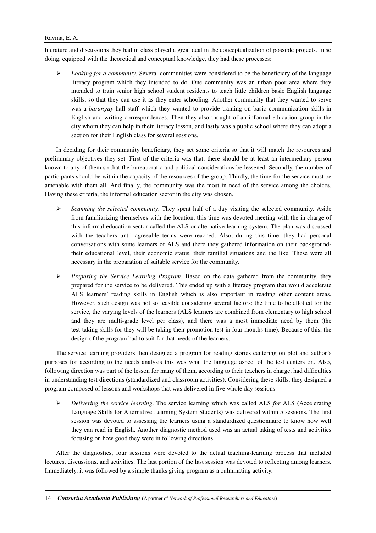## Ravina, E. A.

literature and discussions they had in class played a great deal in the conceptualization of possible projects. In so doing, equipped with the theoretical and conceptual knowledge, they had these processes:

 $\triangleright$  *Looking for a community*. Several communities were considered to be the beneficiary of the language literacy program which they intended to do. One community was an urban poor area where they intended to train senior high school student residents to teach little children basic English language skills, so that they can use it as they enter schooling. Another community that they wanted to serve was a *barangay* hall staff which they wanted to provide training on basic communication skills in English and writing correspondences. Then they also thought of an informal education group in the city whom they can help in their literacy lesson, and lastly was a public school where they can adopt a section for their English class for several sessions.

In deciding for their community beneficiary, they set some criteria so that it will match the resources and preliminary objectives they set. First of the criteria was that, there should be at least an intermediary person known to any of them so that the bureaucratic and political considerations be lessened. Secondly, the number of participants should be within the capacity of the resources of the group. Thirdly, the time for the service must be amenable with them all. And finally, the community was the most in need of the service among the choices. Having these criteria, the informal education sector in the city was chosen.

- $\triangleright$  *Scanning the selected community*. They spent half of a day visiting the selected community. Aside from familiarizing themselves with the location, this time was devoted meeting with the in charge of this informal education sector called the ALS or alternative learning system. The plan was discussed with the teachers until agreeable terms were reached. Also, during this time, they had personal conversations with some learners of ALS and there they gathered information on their backgroundtheir educational level, their economic status, their familial situations and the like. These were all necessary in the preparation of suitable service for the community.
- *Preparing the Service Learning Program*. Based on the data gathered from the community, they prepared for the service to be delivered. This ended up with a literacy program that would accelerate ALS learners' reading skills in English which is also important in reading other content areas. However, such design was not so feasible considering several factors: the time to be allotted for the service, the varying levels of the learners (ALS learners are combined from elementary to high school and they are multi-grade level per class), and there was a most immediate need by them (the test-taking skills for they will be taking their promotion test in four months time). Because of this, the design of the program had to suit for that needs of the learners.

The service learning providers then designed a program for reading stories centering on plot and author's purposes for according to the needs analysis this was what the language aspect of the test centers on. Also, following direction was part of the lesson for many of them, according to their teachers in charge, had difficulties in understanding test directions (standardized and classroom activities). Considering these skills, they designed a program composed of lessons and workshops that was delivered in five whole day sessions.

 *Delivering the service learning*. The service learning which was called ALS *for* ALS (Accelerating Language Skills for Alternative Learning System Students) was delivered within 5 sessions. The first session was devoted to assessing the learners using a standardized questionnaire to know how well they can read in English. Another diagnostic method used was an actual taking of tests and activities focusing on how good they were in following directions.

After the diagnostics, four sessions were devoted to the actual teaching-learning process that included lectures, discussions, and activities. The last portion of the last session was devoted to reflecting among learners. Immediately, it was followed by a simple thanks giving program as a culminating activity.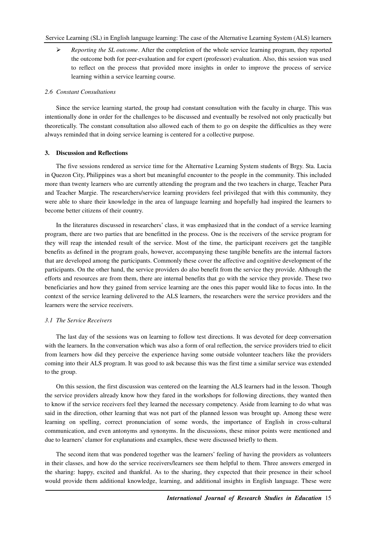*Reporting the SL outcome*. After the completion of the whole service learning program, they reported the outcome both for peer-evaluation and for expert (professor) evaluation. Also, this session was used to reflect on the process that provided more insights in order to improve the process of service learning within a service learning course.

#### *2.6 Constant Consultations*

Since the service learning started, the group had constant consultation with the faculty in charge. This was intentionally done in order for the challenges to be discussed and eventually be resolved not only practically but theoretically. The constant consultation also allowed each of them to go on despite the difficulties as they were always reminded that in doing service learning is centered for a collective purpose.

#### **3. Discussion and Reflections**

The five sessions rendered as service time for the Alternative Learning System students of Brgy. Sta. Lucia in Quezon City, Philippines was a short but meaningful encounter to the people in the community. This included more than twenty learners who are currently attending the program and the two teachers in charge, Teacher Pura and Teacher Margie. The researchers/service learning providers feel privileged that with this community, they were able to share their knowledge in the area of language learning and hopefully had inspired the learners to become better citizens of their country.

In the literatures discussed in researchers' class, it was emphasized that in the conduct of a service learning program, there are two parties that are benefitted in the process. One is the receivers of the service program for they will reap the intended result of the service. Most of the time, the participant receivers get the tangible benefits as defined in the program goals, however, accompanying these tangible benefits are the internal factors that are developed among the participants. Commonly these cover the affective and cognitive development of the participants. On the other hand, the service providers do also benefit from the service they provide. Although the efforts and resources are from them, there are internal benefits that go with the service they provide. These two beneficiaries and how they gained from service learning are the ones this paper would like to focus into. In the context of the service learning delivered to the ALS learners, the researchers were the service providers and the learners were the service receivers.

#### *3.1 The Service Receivers*

The last day of the sessions was on learning to follow test directions. It was devoted for deep conversation with the learners. In the conversation which was also a form of oral reflection, the service providers tried to elicit from learners how did they perceive the experience having some outside volunteer teachers like the providers coming into their ALS program. It was good to ask because this was the first time a similar service was extended to the group.

On this session, the first discussion was centered on the learning the ALS learners had in the lesson. Though the service providers already know how they fared in the workshops for following directions, they wanted then to know if the service receivers feel they learned the necessary competency. Aside from learning to do what was said in the direction, other learning that was not part of the planned lesson was brought up. Among these were learning on spelling, correct pronunciation of some words, the importance of English in cross-cultural communication, and even antonyms and synonyms. In the discussions, these minor points were mentioned and due to learners' clamor for explanations and examples, these were discussed briefly to them.

The second item that was pondered together was the learners' feeling of having the providers as volunteers in their classes, and how do the service receivers/learners see them helpful to them. Three answers emerged in the sharing: happy, excited and thankful. As to the sharing, they expected that their presence in their school would provide them additional knowledge, learning, and additional insights in English language. These were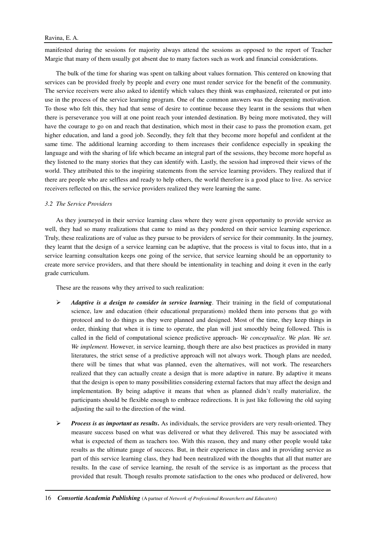manifested during the sessions for majority always attend the sessions as opposed to the report of Teacher Margie that many of them usually got absent due to many factors such as work and financial considerations.

The bulk of the time for sharing was spent on talking about values formation. This centered on knowing that services can be provided freely by people and every one must render service for the benefit of the community. The service receivers were also asked to identify which values they think was emphasized, reiterated or put into use in the process of the service learning program. One of the common answers was the deepening motivation. To those who felt this, they had that sense of desire to continue because they learnt in the sessions that when there is perseverance you will at one point reach your intended destination. By being more motivated, they will have the courage to go on and reach that destination, which most in their case to pass the promotion exam, get higher education, and land a good job. Secondly, they felt that they become more hopeful and confident at the same time. The additional learning according to them increases their confidence especially in speaking the language and with the sharing of life which became an integral part of the sessions, they become more hopeful as they listened to the many stories that they can identify with. Lastly, the session had improved their views of the world. They attributed this to the inspiring statements from the service learning providers. They realized that if there are people who are selfless and ready to help others, the world therefore is a good place to live. As service receivers reflected on this, the service providers realized they were learning the same.

#### *3.2 The Service Providers*

As they journeyed in their service learning class where they were given opportunity to provide service as well, they had so many realizations that came to mind as they pondered on their service learning experience. Truly, these realizations are of value as they pursue to be providers of service for their community. In the journey, they learnt that the design of a service learning can be adaptive, that the process is vital to focus into, that in a service learning consultation keeps one going of the service, that service learning should be an opportunity to create more service providers, and that there should be intentionality in teaching and doing it even in the early grade curriculum.

These are the reasons why they arrived to such realization:

- $\triangleright$  Adaptive is a design to consider in service learning. Their training in the field of computational science, law and education (their educational preparations) molded them into persons that go with protocol and to do things as they were planned and designed. Most of the time, they keep things in order, thinking that when it is time to operate, the plan will just smoothly being followed. This is called in the field of computational science predictive approach- *We conceptualize. We plan. We set. We implement*. However, in service learning, though there are also best practices as provided in many literatures, the strict sense of a predictive approach will not always work. Though plans are needed, there will be times that what was planned, even the alternatives, will not work. The researchers realized that they can actually create a design that is more adaptive in nature. By adaptive it means that the design is open to many possibilities considering external factors that may affect the design and implementation. By being adaptive it means that when as planned didn't really materialize, the participants should be flexible enough to embrace redirections. It is just like following the old saying adjusting the sail to the direction of the wind.
- *Process is as important as results.* As individuals, the service providers are very result-oriented. They measure success based on what was delivered or what they delivered. This may be associated with what is expected of them as teachers too. With this reason, they and many other people would take results as the ultimate gauge of success. But, in their experience in class and in providing service as part of this service learning class, they had been neutralized with the thoughts that all that matter are results. In the case of service learning, the result of the service is as important as the process that provided that result. Though results promote satisfaction to the ones who produced or delivered, how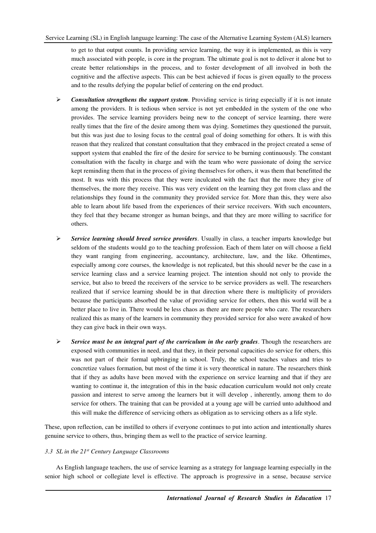to get to that output counts. In providing service learning, the way it is implemented, as this is very much associated with people, is core in the program. The ultimate goal is not to deliver it alone but to create better relationships in the process, and to foster development of all involved in both the cognitive and the affective aspects. This can be best achieved if focus is given equally to the process and to the results defying the popular belief of centering on the end product.

- $\triangleright$  Consultation strengthens the support system. Providing service is tiring especially if it is not innate among the providers. It is tedious when service is not yet embedded in the system of the one who provides. The service learning providers being new to the concept of service learning, there were really times that the fire of the desire among them was dying. Sometimes they questioned the pursuit, but this was just due to losing focus to the central goal of doing something for others. It is with this reason that they realized that constant consultation that they embraced in the project created a sense of support system that enabled the fire of the desire for service to be burning continuously. The constant consultation with the faculty in charge and with the team who were passionate of doing the service kept reminding them that in the process of giving themselves for others, it was them that benefitted the most. It was with this process that they were inculcated with the fact that the more they give of themselves, the more they receive. This was very evident on the learning they got from class and the relationships they found in the community they provided service for. More than this, they were also able to learn about life based from the experiences of their service receivers. With such encounters, they feel that they became stronger as human beings, and that they are more willing to sacrifice for others.
- *Service learning should breed service providers*. Usually in class, a teacher imparts knowledge but seldom of the students would go to the teaching profession. Each of them later on will choose a field they want ranging from engineering, accountancy, architecture, law, and the like. Oftentimes, especially among core courses, the knowledge is not replicated, but this should never be the case in a service learning class and a service learning project. The intention should not only to provide the service, but also to breed the receivers of the service to be service providers as well. The researchers realized that if service learning should be in that direction where there is multiplicity of providers because the participants absorbed the value of providing service for others, then this world will be a better place to live in. There would be less chaos as there are more people who care. The researchers realized this as many of the learners in community they provided service for also were awaked of how they can give back in their own ways.
- *Service must be an integral part of the curriculum in the early grades*. Though the researchers are exposed with communities in need, and that they, in their personal capacities do service for others, this was not part of their formal upbringing in school. Truly, the school teaches values and tries to concretize values formation, but most of the time it is very theoretical in nature. The researchers think that if they as adults have been moved with the experience on service learning and that if they are wanting to continue it, the integration of this in the basic education curriculum would not only create passion and interest to serve among the learners but it will develop , inherently, among them to do service for others. The training that can be provided at a young age will be carried unto adulthood and this will make the difference of servicing others as obligation as to servicing others as a life style.

These, upon reflection, can be instilled to others if everyone continues to put into action and intentionally shares genuine service to others, thus, bringing them as well to the practice of service learning.

## *3.3 SL in the 21st Century Language Classrooms*

As English language teachers, the use of service learning as a strategy for language learning especially in the senior high school or collegiate level is effective. The approach is progressive in a sense, because service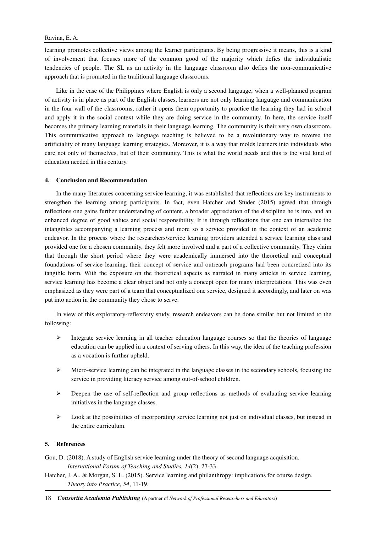learning promotes collective views among the learner participants. By being progressive it means, this is a kind of involvement that focuses more of the common good of the majority which defies the individualistic tendencies of people. The SL as an activity in the language classroom also defies the non-communicative approach that is promoted in the traditional language classrooms.

Like in the case of the Philippines where English is only a second language, when a well-planned program of activity is in place as part of the English classes, learners are not only learning language and communication in the four wall of the classrooms, rather it opens them opportunity to practice the learning they had in school and apply it in the social context while they are doing service in the community. In here, the service itself becomes the primary learning materials in their language learning. The community is their very own classroom. This communicative approach to language teaching is believed to be a revolutionary way to reverse the artificiality of many language learning strategies. Moreover, it is a way that molds learners into individuals who care not only of themselves, but of their community. This is what the world needs and this is the vital kind of education needed in this century.

## **4. Conclusion and Recommendation**

In the many literatures concerning service learning, it was established that reflections are key instruments to strengthen the learning among participants. In fact, even Hatcher and Studer (2015) agreed that through reflections one gains further understanding of content, a broader appreciation of the discipline he is into, and an enhanced degree of good values and social responsibility. It is through reflections that one can internalize the intangibles accompanying a learning process and more so a service provided in the context of an academic endeavor. In the process where the researchers/service learning providers attended a service learning class and provided one for a chosen community, they felt more involved and a part of a collective community. They claim that through the short period where they were academically immersed into the theoretical and conceptual foundations of service learning, their concept of service and outreach programs had been concretized into its tangible form. With the exposure on the theoretical aspects as narrated in many articles in service learning, service learning has become a clear object and not only a concept open for many interpretations. This was even emphasized as they were part of a team that conceptualized one service, designed it accordingly, and later on was put into action in the community they chose to serve.

In view of this exploratory-reflexivity study, research endeavors can be done similar but not limited to the following:

- Integrate service learning in all teacher education language courses so that the theories of language education can be applied in a context of serving others. In this way, the idea of the teaching profession as a vocation is further upheld.
- $\triangleright$  Micro-service learning can be integrated in the language classes in the secondary schools, focusing the service in providing literacy service among out-of-school children.
- $\triangleright$  Deepen the use of self-reflection and group reflections as methods of evaluating service learning initiatives in the language classes.
- $\triangleright$  Look at the possibilities of incorporating service learning not just on individual classes, but instead in the entire curriculum.

#### **5. References**

Gou, D. (2018). A study of English service learning under the theory of second language acquisition. *International Forum of Teaching and Studies, 14*(2), 27-33.

Hatcher, J. A., & Morgan, S. L. (2015). Service learning and philanthropy: implications for course design. *Theory into Practice, 54*, 11-19.